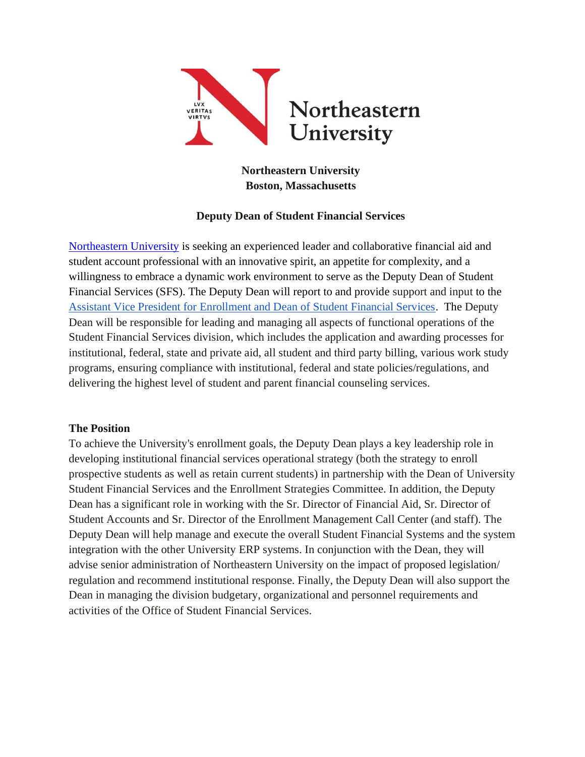

# **Northeastern University Boston, Massachusetts**

## **Deputy Dean of Student Financial Services**

[Northeastern University](https://www.northeastern.edu/) is seeking an experienced leader and collaborative financial aid and student account professional with an innovative spirit, an appetite for complexity, and a willingness to embrace a dynamic work environment to serve as the Deputy Dean of Student Financial Services (SFS). The Deputy Dean will report to and provide support and input to the [Assistant Vice President for Enrollment and Dean of Student Financial Services.](https://studentfinance.northeastern.edu/contact-us/leadership/) The Deputy Dean will be responsible for leading and managing all aspects of functional operations of the Student Financial Services division, which includes the application and awarding processes for institutional, federal, state and private aid, all student and third party billing, various work study programs, ensuring compliance with institutional, federal and state policies/regulations, and delivering the highest level of student and parent financial counseling services.

#### **The Position**

To achieve the University's enrollment goals, the Deputy Dean plays a key leadership role in developing institutional financial services operational strategy (both the strategy to enroll prospective students as well as retain current students) in partnership with the Dean of University Student Financial Services and the Enrollment Strategies Committee. In addition, the Deputy Dean has a significant role in working with the Sr. Director of Financial Aid, Sr. Director of Student Accounts and Sr. Director of the Enrollment Management Call Center (and staff). The Deputy Dean will help manage and execute the overall Student Financial Systems and the system integration with the other University ERP systems. In conjunction with the Dean, they will advise senior administration of Northeastern University on the impact of proposed legislation/ regulation and recommend institutional response. Finally, the Deputy Dean will also support the Dean in managing the division budgetary, organizational and personnel requirements and activities of the Office of Student Financial Services.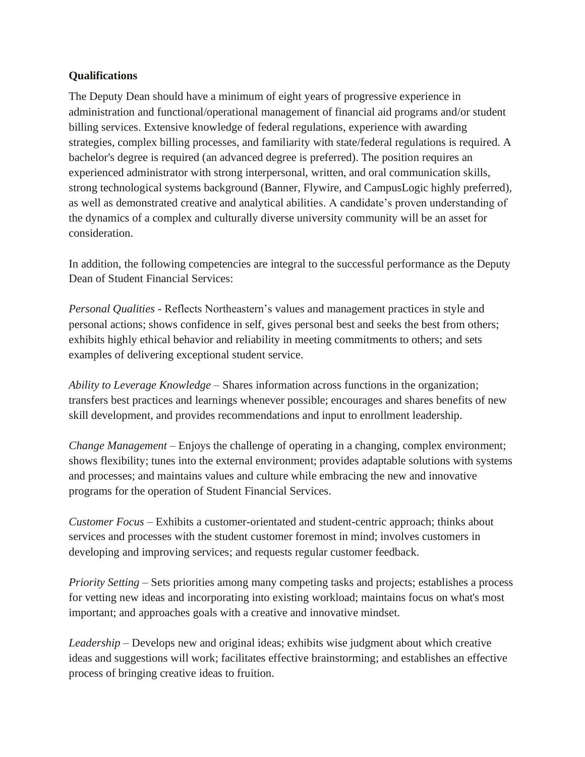## **Qualifications**

The Deputy Dean should have a minimum of eight years of progressive experience in administration and functional/operational management of financial aid programs and/or student billing services. Extensive knowledge of federal regulations, experience with awarding strategies, complex billing processes, and familiarity with state/federal regulations is required. A bachelor's degree is required (an advanced degree is preferred). The position requires an experienced administrator with strong interpersonal, written, and oral communication skills, strong technological systems background (Banner, Flywire, and CampusLogic highly preferred), as well as demonstrated creative and analytical abilities. A candidate's proven understanding of the dynamics of a complex and culturally diverse university community will be an asset for consideration.

In addition, the following competencies are integral to the successful performance as the Deputy Dean of Student Financial Services:

*Personal Qualities* - Reflects Northeastern's values and management practices in style and personal actions; shows confidence in self, gives personal best and seeks the best from others; exhibits highly ethical behavior and reliability in meeting commitments to others; and sets examples of delivering exceptional student service.

*Ability to Leverage Knowledge* – Shares information across functions in the organization; transfers best practices and learnings whenever possible; encourages and shares benefits of new skill development, and provides recommendations and input to enrollment leadership.

*Change Management* – Enjoys the challenge of operating in a changing, complex environment; shows flexibility; tunes into the external environment; provides adaptable solutions with systems and processes; and maintains values and culture while embracing the new and innovative programs for the operation of Student Financial Services.

*Customer Focus* – Exhibits a customer-orientated and student-centric approach; thinks about services and processes with the student customer foremost in mind; involves customers in developing and improving services; and requests regular customer feedback.

*Priority Setting* – Sets priorities among many competing tasks and projects; establishes a process for vetting new ideas and incorporating into existing workload; maintains focus on what's most important; and approaches goals with a creative and innovative mindset.

*Leadership* – Develops new and original ideas; exhibits wise judgment about which creative ideas and suggestions will work; facilitates effective brainstorming; and establishes an effective process of bringing creative ideas to fruition.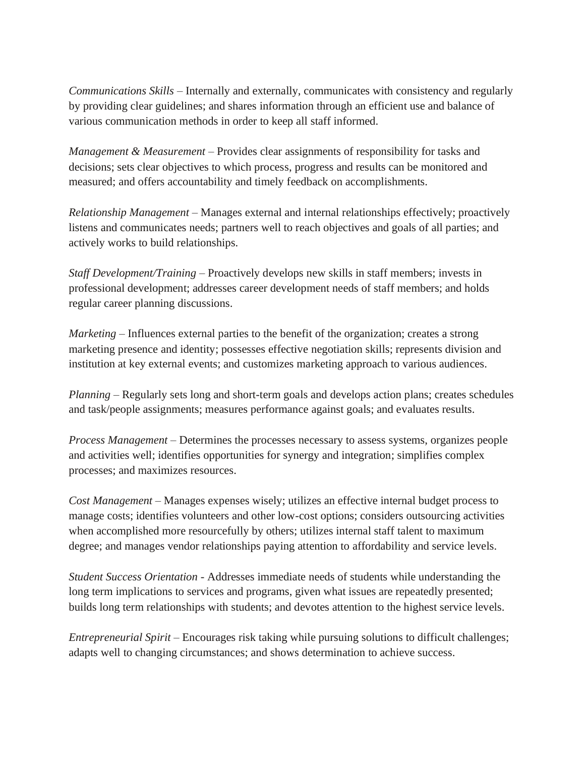*Communications Skills* – Internally and externally, communicates with consistency and regularly by providing clear guidelines; and shares information through an efficient use and balance of various communication methods in order to keep all staff informed.

*Management & Measurement* – Provides clear assignments of responsibility for tasks and decisions; sets clear objectives to which process, progress and results can be monitored and measured; and offers accountability and timely feedback on accomplishments.

*Relationship Management* – Manages external and internal relationships effectively; proactively listens and communicates needs; partners well to reach objectives and goals of all parties; and actively works to build relationships.

*Staff Development/Training* – Proactively develops new skills in staff members; invests in professional development; addresses career development needs of staff members; and holds regular career planning discussions.

*Marketing* – Influences external parties to the benefit of the organization; creates a strong marketing presence and identity; possesses effective negotiation skills; represents division and institution at key external events; and customizes marketing approach to various audiences.

*Planning* – Regularly sets long and short-term goals and develops action plans; creates schedules and task/people assignments; measures performance against goals; and evaluates results.

*Process Management* – Determines the processes necessary to assess systems, organizes people and activities well; identifies opportunities for synergy and integration; simplifies complex processes; and maximizes resources.

*Cost Management* – Manages expenses wisely; utilizes an effective internal budget process to manage costs; identifies volunteers and other low-cost options; considers outsourcing activities when accomplished more resourcefully by others; utilizes internal staff talent to maximum degree; and manages vendor relationships paying attention to affordability and service levels.

*Student Success Orientation* - Addresses immediate needs of students while understanding the long term implications to services and programs, given what issues are repeatedly presented; builds long term relationships with students; and devotes attention to the highest service levels.

*Entrepreneurial Spirit* – Encourages risk taking while pursuing solutions to difficult challenges; adapts well to changing circumstances; and shows determination to achieve success.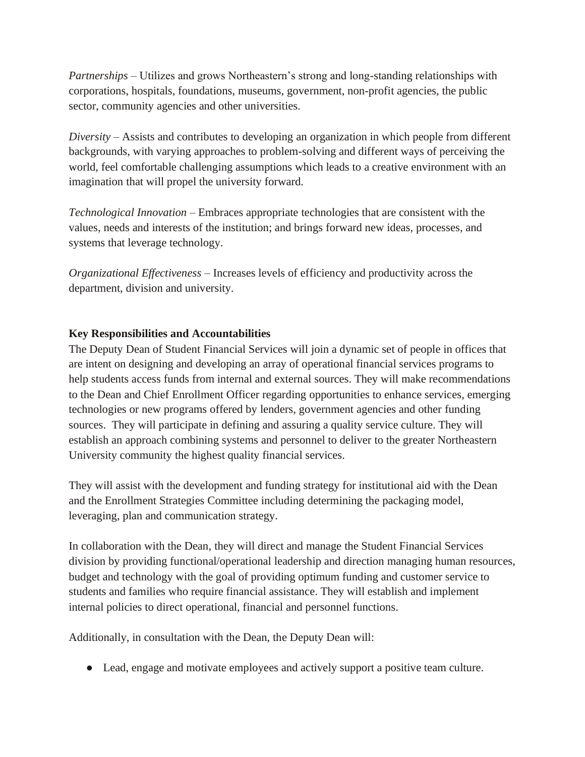*Partnerships* – Utilizes and grows Northeastern's strong and long-standing relationships with corporations, hospitals, foundations, museums, government, non-profit agencies, the public sector, community agencies and other universities.

*Diversity* – Assists and contributes to developing an organization in which people from different backgrounds, with varying approaches to problem-solving and different ways of perceiving the world, feel comfortable challenging assumptions which leads to a creative environment with an imagination that will propel the university forward.

*Technological Innovation* – Embraces appropriate technologies that are consistent with the values, needs and interests of the institution; and brings forward new ideas, processes, and systems that leverage technology.

*Organizational Effectiveness* – Increases levels of efficiency and productivity across the department, division and university.

## **Key Responsibilities and Accountabilities**

The Deputy Dean of Student Financial Services will join a dynamic set of people in offices that are intent on designing and developing an array of operational financial services programs to help students access funds from internal and external sources. They will make recommendations to the Dean and Chief Enrollment Officer regarding opportunities to enhance services, emerging technologies or new programs offered by lenders, government agencies and other funding sources. They will participate in defining and assuring a quality service culture. They will establish an approach combining systems and personnel to deliver to the greater Northeastern University community the highest quality financial services.

They will assist with the development and funding strategy for institutional aid with the Dean and the Enrollment Strategies Committee including determining the packaging model, leveraging, plan and communication strategy.

In collaboration with the Dean, they will direct and manage the Student Financial Services division by providing functional/operational leadership and direction managing human resources, budget and technology with the goal of providing optimum funding and customer service to students and families who require financial assistance. They will establish and implement internal policies to direct operational, financial and personnel functions.

Additionally, in consultation with the Dean, the Deputy Dean will:

● Lead, engage and motivate employees and actively support a positive team culture.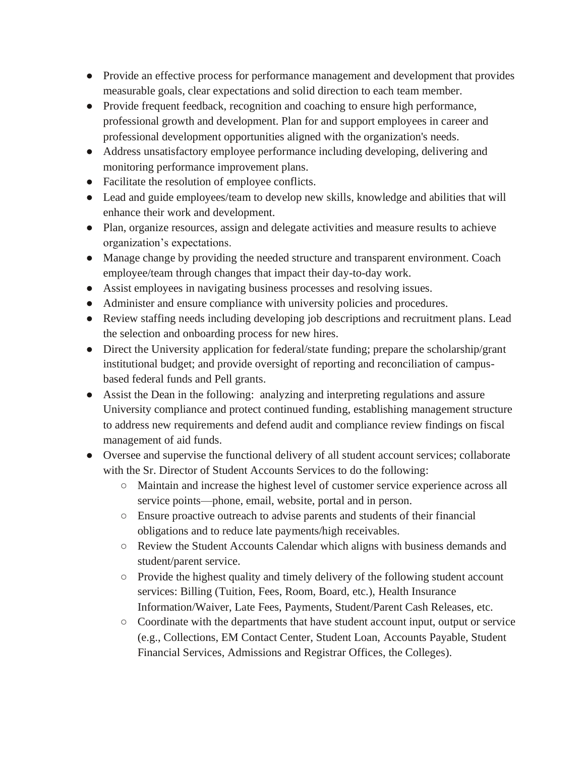- Provide an effective process for performance management and development that provides measurable goals, clear expectations and solid direction to each team member.
- Provide frequent feedback, recognition and coaching to ensure high performance, professional growth and development. Plan for and support employees in career and professional development opportunities aligned with the organization's needs.
- Address unsatisfactory employee performance including developing, delivering and monitoring performance improvement plans.
- Facilitate the resolution of employee conflicts.
- Lead and guide employees/team to develop new skills, knowledge and abilities that will enhance their work and development.
- Plan, organize resources, assign and delegate activities and measure results to achieve organization's expectations.
- Manage change by providing the needed structure and transparent environment. Coach employee/team through changes that impact their day-to-day work.
- Assist employees in navigating business processes and resolving issues.
- Administer and ensure compliance with university policies and procedures.
- Review staffing needs including developing job descriptions and recruitment plans. Lead the selection and onboarding process for new hires.
- Direct the University application for federal/state funding; prepare the scholarship/grant institutional budget; and provide oversight of reporting and reconciliation of campusbased federal funds and Pell grants.
- Assist the Dean in the following: analyzing and interpreting regulations and assure University compliance and protect continued funding, establishing management structure to address new requirements and defend audit and compliance review findings on fiscal management of aid funds.
- Oversee and supervise the functional delivery of all student account services; collaborate with the Sr. Director of Student Accounts Services to do the following:
	- Maintain and increase the highest level of customer service experience across all service points—phone, email, website, portal and in person.
	- Ensure proactive outreach to advise parents and students of their financial obligations and to reduce late payments/high receivables.
	- Review the Student Accounts Calendar which aligns with business demands and student/parent service.
	- Provide the highest quality and timely delivery of the following student account services: Billing (Tuition, Fees, Room, Board, etc.), Health Insurance Information/Waiver, Late Fees, Payments, Student/Parent Cash Releases, etc.
	- Coordinate with the departments that have student account input, output or service (e.g., Collections, EM Contact Center, Student Loan, Accounts Payable, Student Financial Services, Admissions and Registrar Offices, the Colleges).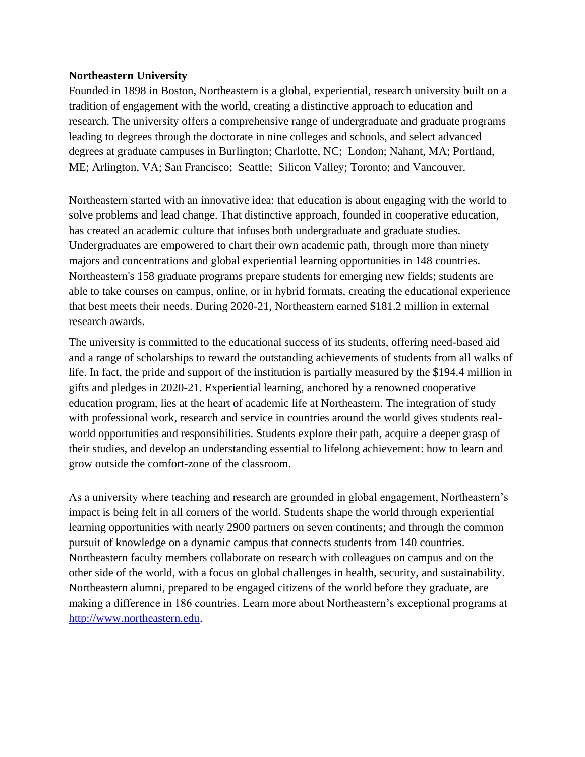#### **Northeastern University**

Founded in 1898 in Boston, Northeastern is a global, experiential, research university built on a tradition of engagement with the world, creating a distinctive approach to education and research. The university offers a comprehensive range of undergraduate and graduate programs leading to degrees through the doctorate in nine colleges and schools, and select advanced degrees at graduate campuses in Burlington; Charlotte, NC; London; Nahant, MA; Portland, ME; Arlington, VA; San Francisco; Seattle; Silicon Valley; Toronto; and Vancouver.

Northeastern started with an innovative idea: that education is about engaging with the world to solve problems and lead change. That distinctive approach, founded in cooperative education, has created an academic culture that infuses both undergraduate and graduate studies. Undergraduates are empowered to chart their own academic path, through more than ninety majors and concentrations and global experiential learning opportunities in 148 countries. Northeastern's 158 graduate programs prepare students for emerging new fields; students are able to take courses on campus, online, or in hybrid formats, creating the educational experience that best meets their needs. During 2020-21, Northeastern earned \$181.2 million in external research awards.

The university is committed to the educational success of its students, offering need-based aid and a range of scholarships to reward the outstanding achievements of students from all walks of life. In fact, the pride and support of the institution is partially measured by the \$194.4 million in gifts and pledges in 2020-21. Experiential learning, anchored by a renowned cooperative education program, lies at the heart of academic life at Northeastern. The integration of study with professional work, research and service in countries around the world gives students realworld opportunities and responsibilities. Students explore their path, acquire a deeper grasp of their studies, and develop an understanding essential to lifelong achievement: how to learn and grow outside the comfort-zone of the classroom.

As a university where teaching and research are grounded in global engagement, Northeastern's impact is being felt in all corners of the world. Students shape the world through experiential learning opportunities with nearly 2900 partners on seven continents; and through the common pursuit of knowledge on a dynamic campus that connects students from 140 countries. Northeastern faculty members collaborate on research with colleagues on campus and on the other side of the world, with a focus on global challenges in health, security, and sustainability. Northeastern alumni, prepared to be engaged citizens of the world before they graduate, are making a difference in 186 countries. Learn more about Northeastern's exceptional programs at [http://www.northeastern.edu.](http://www.northeastern.edu/)